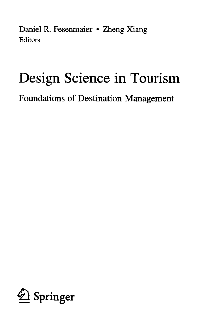Daniel R. Fesenmaier • Zheng Xiang **Editors** 

## Design Science in Tourism

Foundations of Destination Management

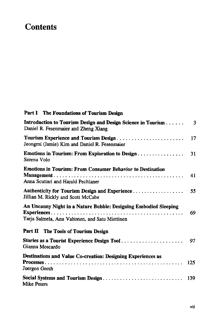## **Contents**

## Part I The Foundations of Tourism Design

| Introduction to Tourism Design and Design Science in Tourism<br>Daniel R. Fesenmaier and Zheng Xiang                | 3   |
|---------------------------------------------------------------------------------------------------------------------|-----|
| Tourism Experience and Tourism Design<br>Jeongmi (Jamie) Kim and Daniel R. Fesenmaier                               | 17  |
| Emotions in Tourism: From Exploration to Design<br>Serena Volo                                                      | 31  |
| <b>Emotions in Tourism: From Consumer Behavior to Destination</b><br>Anna Scuttari and Harald Pechlaner             | 41  |
| Authenticity for Tourism Design and Experience<br>Jillian M. Rickly and Scott McCabe                                | 55  |
| An Uncanny Night in a Nature Bubble: Designing Embodied Sleeping<br>Tarja Salmela, Anu Valtonen, and Satu Miettinen | 69  |
| Part II The Tools of Tourism Design                                                                                 |     |
| Stories as a Tourist Experience Design Tool<br>Gianna Moscardo                                                      | 97  |
| Destinations and Value Co-creation: Designing Experiences as<br>Juergen Gnoth                                       | 125 |
| Social Systems and Tourism Design<br><b>Mike Peters</b>                                                             | 139 |